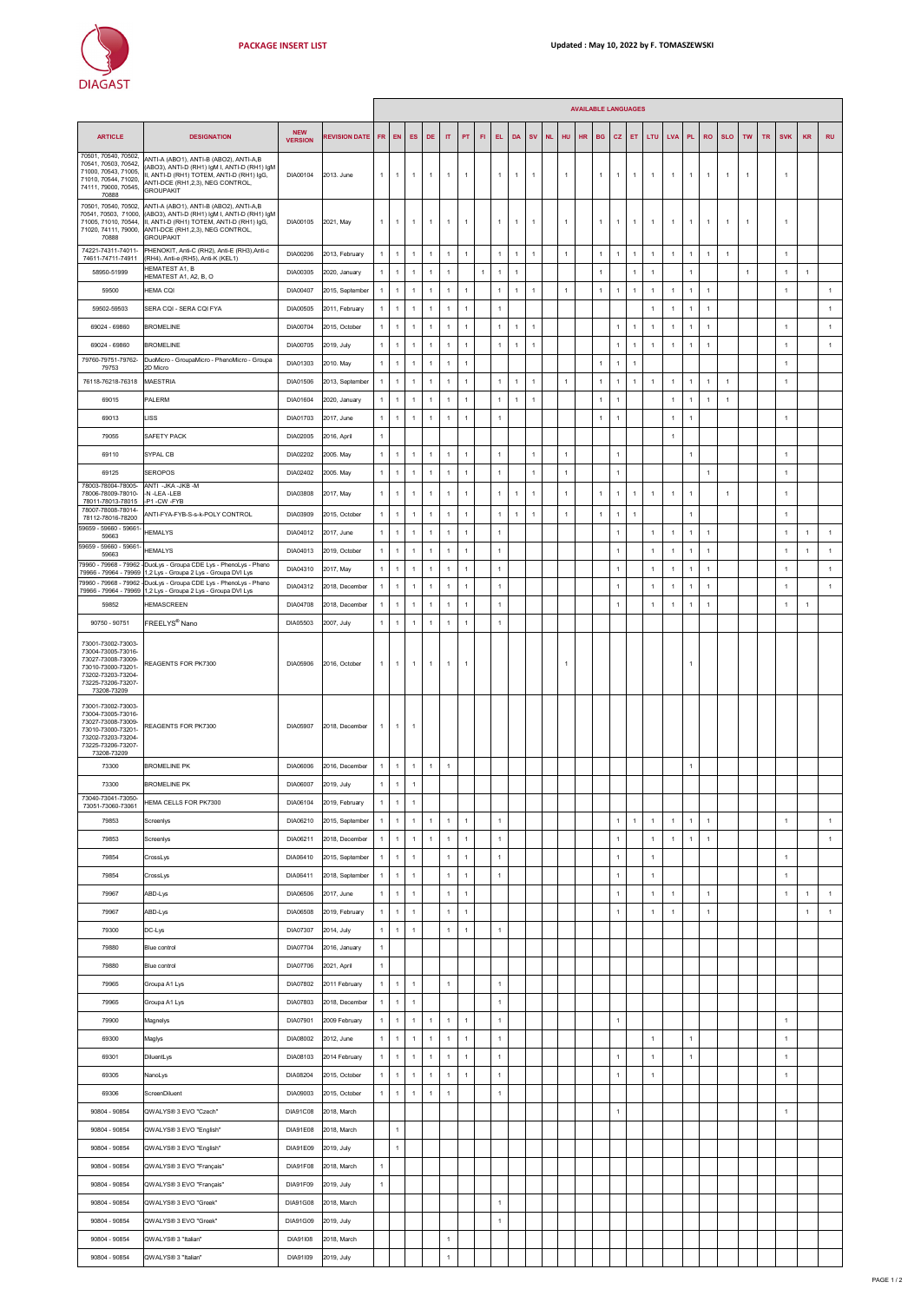|                                                                                                                                                                |                                                                                                                                                                                             |                              |                      |              |                |                |                |                |                |              |                |              |                |           |                |           | <b>AVAILABLE LANGUAGES</b> |              |                |                |                |                |                |                      |                |           |                |                |                |
|----------------------------------------------------------------------------------------------------------------------------------------------------------------|---------------------------------------------------------------------------------------------------------------------------------------------------------------------------------------------|------------------------------|----------------------|--------------|----------------|----------------|----------------|----------------|----------------|--------------|----------------|--------------|----------------|-----------|----------------|-----------|----------------------------|--------------|----------------|----------------|----------------|----------------|----------------|----------------------|----------------|-----------|----------------|----------------|----------------|
| <b>ARTICLE</b>                                                                                                                                                 | <b>DESIGNATION</b>                                                                                                                                                                          | <b>NEW</b><br><b>VERSION</b> | <b>REVISION DATE</b> | FR.          | EN             | ES             | DE             | $^{\text{IT}}$ | PT             | <b>FI</b>    | EL.            | DA           | <b>SV</b>      | <b>NL</b> | HU             | <b>HR</b> | <b>BG</b>                  | <b>CZ</b>    | ET             | LTU            | <b>LVA</b>     | PL.            | <b>RO</b>      | <b>SLO</b>           | <b>TW</b>      | <b>TR</b> | <b>SVK</b>     | <b>KR</b>      | <b>RU</b>      |
| 70501, 70540, 70502,<br>70541, 70503, 70542,<br>71000, 70543, 71005,<br>71010, 70544, 71020,<br>74111, 79000, 70545,<br>70888                                  | ANTI-A (ABO1), ANTI-B (ABO2), ANTI-A,B<br>(ABO3), ANTI-D (RH1) IgM I, ANTI-D (RH1) IgM<br>II, ANTI-D (RH1) TOTEM, ANTI-D (RH1) IgG,<br>ANTI-DCE (RH1,2,3), NEG CONTROL,<br><b>GROUPAKIT</b> | DIA00104                     | 2013. June           | $\mathbf{1}$ | $\mathbf{1}$   | $\mathbf{1}$   | $\mathbf{1}$   | 1              | $\mathbf{1}$   |              | $\mathbf{1}$   | $\mathbf{1}$ | $\overline{1}$ |           | $\mathbf{1}$   |           | $\mathbf{1}$               | $\mathbf{1}$ | $\mathbf{1}$   | $\mathbf{1}$   | $\overline{1}$ | $\overline{1}$ | $\mathbf{1}$   | $\mathbf{1}$         | $\mathbf{1}$   |           | $\overline{1}$ |                |                |
| 70501, 70540, 70502,<br>70541, 70503, 71000,<br>71005, 71010, 70544,<br>71020, 74111, 79000,<br>70888                                                          | ANTI-A (ABO1), ANTI-B (ABO2), ANTI-A,B<br>(ABO3), ANTI-D (RH1) IgM I, ANTI-D (RH1) IgM<br>II, ANTI-D (RH1) TOTEM, ANTI-D (RH1) IgG,<br>ANTI-DCE (RH1,2,3), NEG CONTROL,<br><b>GROUPAKIT</b> | DIA00105                     | 2021, May            | $\mathbf{1}$ | $\mathbf{1}$   | $\mathbf{1}$   | $\mathbf{1}$   | $\overline{1}$ | $\overline{1}$ |              | $\overline{1}$ | $\mathbf{1}$ | $\overline{1}$ |           | $\overline{1}$ |           | $\mathbf{1}$               | $\mathbf{1}$ | $\mathbf{1}$   | $\overline{1}$ | $\overline{1}$ | $\overline{1}$ | $\mathbf{1}$   | $\mathbf{1}$         | $\mathbf{1}$   |           | $\overline{1}$ |                |                |
| 74221-74311-74011-<br>74611-74711-74911                                                                                                                        | PHENOKIT, Anti-C (RH2), Anti-E (RH3), Anti-c<br>(RH4), Anti-e (RH5), Anti-K (KEL1)                                                                                                          | DIA00206                     | 2013, February       | $\mathbf{1}$ | $\mathbf{1}$   | $\mathbf{1}$   | $\mathbf{1}$   | $\overline{1}$ | $\mathbf{1}$   |              | $\overline{1}$ | $\,$ 1 $\,$  | $\overline{1}$ |           | $\mathbf{1}$   |           | $\mathbf{1}$               | $\mathbf{1}$ | $\overline{1}$ | $\mathbf{1}$   | $\overline{1}$ | $\mathbf{1}$   | $\overline{1}$ | $\ddot{\phantom{1}}$ |                |           | $\overline{1}$ |                |                |
| 58950-51999                                                                                                                                                    | <b>HEMATEST A1, B</b><br>HEMATEST A1, A2, B, O                                                                                                                                              | DIA00305                     | 2020, January        | $\mathbf{1}$ | $\mathbf{1}$   | $\mathbf{1}$   | $\overline{1}$ | $\overline{1}$ |                | $\mathbf{1}$ | $\overline{1}$ | $\mathbf{1}$ |                |           |                |           | $\mathbf{1}$               |              | 1              | $\mathbf{1}$   |                | $\overline{1}$ |                |                      | $\overline{1}$ |           | $\mathbf{1}$   | $\overline{1}$ |                |
| 59500                                                                                                                                                          | HEMA CQI                                                                                                                                                                                    | DIA00407                     | 2015, September      | $\mathbf{1}$ | $\mathbf{1}$   | $\mathbf{1}$   | $\mathbf{1}$   | $\overline{1}$ | $\mathbf{1}$   |              | $\overline{1}$ | $\mathbf{1}$ | $\mathbf{1}$   |           | $\mathbf{1}$   |           | $\mathbf{1}$               | $\mathbf{1}$ | $\overline{1}$ | $\mathbf{1}$   | $\mathbf{1}$   | $\overline{1}$ | $\mathbf{1}$   |                      |                |           | $\overline{1}$ |                | $\overline{1}$ |
| 59502-59503                                                                                                                                                    | SERA CQI - SERA CQI FYA                                                                                                                                                                     | DIA00505                     | 2011, February       | $\mathbf{1}$ | $\,$ 1 $\,$    | $\mathbf{1}$   | $\mathbf{1}$   | $\overline{1}$ | $\overline{1}$ |              | $\overline{1}$ |              |                |           |                |           |                            |              |                | $\mathbf{1}$   | $\overline{1}$ | $\mathbf{1}$   | $\overline{1}$ |                      |                |           |                |                | $\overline{1}$ |
| 69024 - 69860                                                                                                                                                  | <b>BROMELINE</b>                                                                                                                                                                            | DIA00704                     | 2015, October        | $\mathbf{1}$ | $\mathbf{1}$   | $\mathbf{1}$   | $\overline{1}$ | $\mathbf{1}$   | $\overline{1}$ |              | $\overline{1}$ | $\mathbf{1}$ | $\overline{1}$ |           |                |           |                            | $\mathbf{1}$ | 1              | $\mathbf{1}$   | $\overline{1}$ | $\overline{1}$ | $\overline{1}$ |                      |                |           | $\overline{1}$ |                | $\overline{1}$ |
| 69024 - 69860                                                                                                                                                  | <b>BROMELINE</b>                                                                                                                                                                            | DIA00705                     | 2019, July           | $\mathbf{1}$ | $\mathbf{1}$   | $\mathbf{1}$   | $\overline{1}$ | $\mathbf{1}$   | $\overline{1}$ |              | $\overline{1}$ | $\mathbf{1}$ | $\overline{1}$ |           |                |           |                            | $\mathbf{1}$ | $\mathbf{1}$   | $\mathbf{1}$   | $\overline{1}$ | $\overline{1}$ | $\overline{1}$ |                      |                |           | $\overline{1}$ |                | $\overline{1}$ |
| 79760-79751-79762-<br>79753                                                                                                                                    | DuoMicro - GroupaMicro - PhenoMicro - Groupa<br>2D Micro                                                                                                                                    | DIA01303                     | 2010. May            | $\mathbf{1}$ | $\mathbf{1}$   | $\mathbf{1}$   | $\mathbf{1}$   | $\mathbf{1}$   | $\mathbf{1}$   |              |                |              |                |           |                |           | $\mathbf{1}$               | $\mathbf{1}$ | 1              |                |                |                |                |                      |                |           | $\mathbf{1}$   |                |                |
| 76118-76218-76318                                                                                                                                              | <b>MAESTRIA</b>                                                                                                                                                                             | DIA01506                     | 2013, September      | $\mathbf{1}$ | $\mathbf{1}$   | $\mathbf{1}$   | $\mathbf{1}$   | $\mathbf{1}$   | $\mathbf{1}$   |              | $\mathbf{1}$   | $\mathbf{1}$ | 1              |           | $\mathbf{1}$   |           | $\mathbf{1}$               | $\mathbf{1}$ | 1              | $\mathbf{1}$   | $\mathbf{1}$   | $\overline{1}$ | $\mathbf{1}$   | $\overline{1}$       |                |           | $\mathbf{1}$   |                |                |
| 69015                                                                                                                                                          | PALERM                                                                                                                                                                                      | DIA01604                     | 2020, January        | $\mathbf{1}$ | $\mathbf{1}$   | $\mathbf{1}$   | $\overline{1}$ | 1              | $\mathbf{1}$   |              | $\mathbf{1}$   | $\mathbf{1}$ | $\overline{1}$ |           |                |           | 1                          | $\mathbf{1}$ |                |                | $\overline{1}$ | $\overline{1}$ | $\mathbf{1}$   | $\overline{1}$       |                |           |                |                |                |
| 69013                                                                                                                                                          | LISS                                                                                                                                                                                        | DIA01703                     | 2017, June           | $\mathbf{1}$ | $\mathbf{1}$   | $\mathbf{1}$   | $\overline{1}$ | 1              | $\overline{1}$ |              | $\overline{1}$ |              |                |           |                |           | 1                          | $\mathbf{1}$ |                |                | $\overline{1}$ | $\overline{1}$ |                |                      |                |           | $\overline{1}$ |                |                |
| 79055                                                                                                                                                          | SAFETY PACK                                                                                                                                                                                 | DIA02005                     | 2016, April          | $\mathbf{1}$ |                |                |                |                |                |              |                |              |                |           |                |           |                            |              |                |                | $\overline{1}$ |                |                |                      |                |           |                |                |                |
| 69110                                                                                                                                                          | SYPAL CB                                                                                                                                                                                    | DIA02202                     | 2005. May            | $\mathbf{1}$ | $\overline{1}$ | $\overline{1}$ | $\overline{1}$ | $\overline{1}$ | $\overline{1}$ |              | $\overline{1}$ |              | $\overline{1}$ |           | $\mathbf{1}$   |           |                            | $\mathbf{1}$ |                |                |                | $\overline{1}$ |                |                      |                |           | $\overline{1}$ |                |                |
| 69125                                                                                                                                                          | SEROPOS                                                                                                                                                                                     | DIA02402                     | 2005. May            | $\mathbf{1}$ | $\mathbf{1}$   | $\mathbf{1}$   | $\overline{1}$ | $\overline{1}$ | $\mathbf{1}$   |              | $\overline{1}$ |              | $\overline{1}$ |           | $\mathbf{1}$   |           |                            | $\mathbf{1}$ |                |                |                |                | $\overline{1}$ |                      |                |           | $\overline{1}$ |                |                |
| 78003-78004-78005-<br>78006-78009-78010-<br>78011-78013-78015                                                                                                  | ANTI - JKA - JKB - M<br>-N-LEA-LEB                                                                                                                                                          | DIA03808                     | 2017, May            | $\mathbf{1}$ | $\mathbf{1}$   | $\mathbf{1}$   | $\overline{1}$ | 1              | $\mathbf{1}$   |              |                | $\mathbf{1}$ | 1              |           | $\mathbf{1}$   |           | $\mathbf{1}$               | $\mathbf{1}$ | 1              | $\mathbf{1}$   | $\overline{1}$ | $\overline{1}$ |                | $\overline{1}$       |                |           | $\overline{1}$ |                |                |
| 78007-78008-78014-<br>78112-78016-78200                                                                                                                        | -P1-CW-FYB<br>ANTI-FYA-FYB-S-s-k-POLY CONTROL                                                                                                                                               | DIA03909                     | 2015, October        | $\mathbf{1}$ | $\mathbf{1}$   | $\mathbf{1}$   | $\overline{1}$ | $\overline{1}$ | $\mathbf{1}$   |              | $\mathbf{1}$   | $\mathbf{1}$ | $\overline{1}$ |           | $\mathbf{1}$   |           | $\mathbf{1}$               | $\mathbf{1}$ | $\overline{1}$ |                |                | $\mathbf{1}$   |                |                      |                |           | $\overline{1}$ |                |                |
| 59659 - 59660 - 59661<br>59663                                                                                                                                 | <b>HEMALYS</b>                                                                                                                                                                              | DIA04012                     | 2017, June           | $\mathbf{1}$ | $\mathbf{1}$   | $\mathbf{1}$   | $\overline{1}$ | $\overline{1}$ | $\overline{1}$ |              | $\overline{1}$ |              |                |           |                |           |                            | $\mathbf{1}$ |                | $\mathbf{1}$   | $\overline{1}$ | $\overline{1}$ | $\mathbf{1}$   |                      |                |           | $\overline{1}$ | $\overline{1}$ | $\overline{1}$ |
| 59659 - 59660 - 59661<br>59663                                                                                                                                 | <b>HEMALYS</b>                                                                                                                                                                              | DIA04013                     | 2019, October        | $\mathbf{1}$ | $\mathbf{1}$   | $\mathbf{1}$   | $\mathbf{1}$   | $\overline{1}$ | $\mathbf{1}$   |              | $\mathbf{1}$   |              |                |           |                |           |                            | $\mathbf{1}$ |                | $\mathbf{1}$   | $\mathbf{1}$   | $\overline{1}$ | $\overline{1}$ |                      |                |           | $\overline{1}$ | $\mathbf{1}$   | $\overline{1}$ |
| 79966 - 79964 - 79969                                                                                                                                          | 79960 - 79968 - 79962 - DuoLys - Groupa CDE Lys - PhenoLys - Pheno<br>1,2 Lys - Groupa 2 Lys - Groupa DVI Lys                                                                               | DIA04310                     | 2017, May            | $\mathbf{1}$ | $\mathbf{1}$   | $\mathbf{1}$   | $\overline{1}$ | $\overline{1}$ | $\overline{1}$ |              | $\overline{1}$ |              |                |           |                |           |                            | $\mathbf{1}$ |                | $\mathbf{1}$   | $\overline{1}$ | $\mathbf{1}$   | $\overline{1}$ |                      |                |           | $\overline{1}$ |                | $\overline{1}$ |
| 79960 - 79968 - 79962 -<br>79966 - 79964 - 79969                                                                                                               | DuoLys - Groupa CDE Lys - PhenoLys - Pheno<br>1,2 Lys - Groupa 2 Lys - Groupa DVI Lys                                                                                                       | DIA04312                     | 2018, December       | $\mathbf{1}$ | $\mathbf{1}$   | $\mathbf{1}$   | $\mathbf{1}$   | $\overline{1}$ | $\overline{1}$ |              | $\overline{1}$ |              |                |           |                |           |                            | $\mathbf{1}$ |                | $\mathbf{1}$   | $\overline{1}$ | $\mathbf{1}$   | $\overline{1}$ |                      |                |           | $\overline{1}$ |                | $\overline{1}$ |
| 59852                                                                                                                                                          | HEMASCREEN                                                                                                                                                                                  | DIA04708                     | 2018. December       | $\mathbf{1}$ | $\mathbf{1}$   | $\mathbf{1}$   | $\overline{1}$ | $\mathbf{1}$   | $\overline{1}$ |              | $\mathbf{1}$   |              |                |           |                |           |                            | $\mathbf{1}$ |                | $\mathbf{1}$   | $\overline{1}$ | $\overline{1}$ | $\overline{1}$ |                      |                |           | $\overline{1}$ | $\overline{1}$ |                |
| 90750 - 90751                                                                                                                                                  | FREELYS® Nano                                                                                                                                                                               | DIA05503                     | 2007, July           | $\mathbf{1}$ | $\mathbf{1}$   | $\mathbf{1}$   | $\mathbf{1}$   | $\mathbf{1}$   | $\mathbf{1}$   |              | $\mathbf{1}$   |              |                |           |                |           |                            |              |                |                |                |                |                |                      |                |           |                |                |                |
| 73001-73002-73003-<br>73004-73005-73016-<br>73027-73008-73009-<br>73010-73000-73201-<br>73202-73203-73204-<br>73225-73206-73207-                               | REAGENTS FOR PK7300                                                                                                                                                                         | DIA05906                     | 2016, October        | $\mathbf{1}$ | $\overline{1}$ | $\mathbf{1}$   | $\mathbf{1}$   | $\mathbf{1}$   | $\overline{1}$ |              |                |              |                |           | -1             |           |                            |              |                |                |                | 1              |                |                      |                |           |                |                |                |
| 73208-73209<br>73001-73002-73003-<br>73004-73005-73016-<br>73027-73008-73009-<br>73010-73000-73201-<br>73202-73203-73204-<br>73225-73206-73207-<br>73208-73209 | REAGENTS FOR PK7300                                                                                                                                                                         | DIA05907                     | 2018, December       | $\mathbf{1}$ | $\overline{1}$ | $\overline{1}$ |                |                |                |              |                |              |                |           |                |           |                            |              |                |                |                |                |                |                      |                |           |                |                |                |
| 73300                                                                                                                                                          | <b>BROMELINE PK</b>                                                                                                                                                                         | DIA06006                     | 2016, December       | 1            | $\mathbf{1}$   | $\mathbf{1}$   | $\overline{1}$ | 1              |                |              |                |              |                |           |                |           |                            |              |                |                |                | $\overline{1}$ |                |                      |                |           |                |                |                |
| 73300                                                                                                                                                          | <b>BROMELINE PK</b>                                                                                                                                                                         | DIA06007                     | 2019, July           | $\mathbf{1}$ | $\,$ 1 $\,$    | $\mathbf{1}$   |                |                |                |              |                |              |                |           |                |           |                            |              |                |                |                |                |                |                      |                |           |                |                |                |
| 73040-73041-73050-<br>73051-73060-73061                                                                                                                        | HEMA CELLS FOR PK7300                                                                                                                                                                       | DIA06104                     | 2019, February       | $\mathbf{1}$ | $\,$ 1 $\,$    | $\mathbf{1}$   |                |                |                |              |                |              |                |           |                |           |                            |              |                |                |                |                |                |                      |                |           |                |                |                |
| 79853                                                                                                                                                          | Screenlys                                                                                                                                                                                   | DIA06210                     | 2015, September      | $\mathbf{1}$ | $\overline{1}$ | $\mathbf{1}$   | $\overline{1}$ | $\overline{1}$ | $\mathbf{1}$   |              | $\mathbf{1}$   |              |                |           |                |           |                            | $\mathbf{1}$ | $\overline{1}$ | $\overline{1}$ | $\overline{1}$ | $\mathbf{1}$   | $\overline{1}$ |                      |                |           | $\mathbf{1}$   |                | $\mathbf{1}$   |
| 79853                                                                                                                                                          | Screenlys                                                                                                                                                                                   | DIA06211                     | 2018, December       | $\mathbf{1}$ | $\overline{1}$ | $\,$ 1 $\,$    | $\mathbf{1}$   | $\overline{1}$ | $\mathbf{1}$   |              | $\mathbf 1$    |              |                |           |                |           |                            | $\,$ 1 $\,$  |                | $\mathbf{1}$   | $\mathbf{1}$   | $\mathbf{1}$   | $\mathbf{1}$   |                      |                |           |                |                | $\overline{1}$ |
| 79854                                                                                                                                                          | CrossLys                                                                                                                                                                                    | DIA06410                     | 2015, September      | $\mathbf{1}$ | $\mathbf{1}$   | $\mathbf{1}$   |                | $\mathbf{1}$   | $\mathbf{1}$   |              | $\,$ 1 $\,$    |              |                |           |                |           |                            | $\,$ 1 $\,$  |                | $\mathbf{1}$   |                |                |                |                      |                |           | $\overline{1}$ |                |                |
| 79854                                                                                                                                                          | CrossLys                                                                                                                                                                                    | DIA06411                     | 2018, September      | $\mathbf{1}$ | $\mathbf{1}$   | $\mathbf{1}$   |                | $\mathbf{1}$   | $\mathbf{1}$   |              | $\mathbf 1$    |              |                |           |                |           |                            | $\mathbf{1}$ |                | $\mathbf{1}$   |                |                |                |                      |                |           | $\overline{1}$ |                |                |
| 79967                                                                                                                                                          | ABD-Lys                                                                                                                                                                                     | DIA06506                     | 2017, June           | $\mathbf{1}$ | $\mathbf{1}$   | $\mathbf{1}$   |                | $\mathbf{1}$   | $\mathbf{1}$   |              |                |              |                |           |                |           |                            | $\,$ 1 $\,$  |                | $\mathbf{1}$   | $\overline{1}$ |                | $\mathbf{1}$   |                      |                |           | $\overline{1}$ | $\overline{1}$ | $\mathbf 1$    |
| 79967                                                                                                                                                          | ABD-Lys                                                                                                                                                                                     | DIA06508                     | 2019, February       | $\mathbf{1}$ | $\mathbf{1}$   | $\mathbf{1}$   |                | $\mathbf{1}$   | $\mathbf{1}$   |              |                |              |                |           |                |           |                            | $\mathbf{1}$ |                | $\mathbf{1}$   | $\mathbf{1}$   |                | $\overline{1}$ |                      |                |           |                | $\overline{1}$ | $\overline{1}$ |
| 79300                                                                                                                                                          | DC-Lys                                                                                                                                                                                      | DIA07307                     | 2014, July           | $\mathbf{1}$ | $\mathbf{1}$   | $\mathbf{1}$   |                | $\mathbf{1}$   | $\overline{1}$ |              | $\mathbf{1}$   |              |                |           |                |           |                            |              |                |                |                |                |                |                      |                |           |                |                |                |
| 79880                                                                                                                                                          | Blue control                                                                                                                                                                                | DIA07704                     | 2016, January        | $\mathbf{1}$ |                |                |                |                |                |              |                |              |                |           |                |           |                            |              |                |                |                |                |                |                      |                |           |                |                |                |
| 79880                                                                                                                                                          | Blue control                                                                                                                                                                                | DIA07706                     | 2021, April          | $\mathbf{1}$ |                |                |                |                |                |              |                |              |                |           |                |           |                            |              |                |                |                |                |                |                      |                |           |                |                |                |
| 79965                                                                                                                                                          | Groupa A1 Lys                                                                                                                                                                               | DIA07802                     | 2011 February        | $\mathbf{1}$ | $\mathbf{1}$   | $\mathbf{1}$   |                | $\mathbf{1}$   |                |              | $\mathbf{1}$   |              |                |           |                |           |                            |              |                |                |                |                |                |                      |                |           |                |                |                |
| 79965                                                                                                                                                          | Groupa A1 Lys                                                                                                                                                                               | DIA07803                     | 2018, December       | $\mathbf{1}$ | $\,$ 1 $\,$    | $\mathbf{1}$   |                |                |                |              | $\mathbf{1}$   |              |                |           |                |           |                            |              |                |                |                |                |                |                      |                |           |                |                |                |
| 79900                                                                                                                                                          | Magnelys                                                                                                                                                                                    | DIA07901                     | 2009 February        | $\,$ 1 $\,$  | $\,$ 1 $\,$    | $\mathbf{1}$   | $\overline{1}$ | $\mathbf{1}$   | $\overline{1}$ |              | $\mathbf{1}$   |              |                |           |                |           |                            | $\mathbf{1}$ |                |                |                |                |                |                      |                |           | $\overline{1}$ |                |                |
| 69300                                                                                                                                                          | Maglys                                                                                                                                                                                      | DIA08002                     | 2012, June           | $\mathbf{1}$ | $\overline{1}$ | $\mathbf{1}$   | $\overline{1}$ | $\overline{1}$ | $\mathbf{1}$   |              | $\overline{1}$ |              |                |           |                |           |                            |              |                | $\mathbf{1}$   |                | $\overline{1}$ |                |                      |                |           | $\overline{1}$ |                |                |
| 69301                                                                                                                                                          | DiluentLys                                                                                                                                                                                  | DIA08103                     | 2014 February        | $\mathbf{1}$ | $\overline{1}$ | $\mathbf{1}$   | $\overline{1}$ | $\mathbf{1}$   | $\overline{1}$ |              | $\overline{1}$ |              |                |           |                |           |                            | $\mathbf{1}$ |                | $\mathbf{1}$   |                | $\overline{1}$ |                |                      |                |           | $\overline{1}$ |                |                |
| 69305                                                                                                                                                          | NanoLys                                                                                                                                                                                     | DIA08204                     | 2015, October        | $\,$ 1 $\,$  | $\,$ 1 $\,$    | $\mathbf{1}$   | $\mathbf{1}$   | $\mathbf{1}$   | $\mathbf{1}$   |              | $\,$ 1         |              |                |           |                |           |                            | $\mathbf{1}$ |                | $\mathbf{1}$   |                |                |                |                      |                |           | $\overline{1}$ |                |                |
| 69306                                                                                                                                                          | ScreenDiluent                                                                                                                                                                               | DIA09003                     | 2015, October        | $\mathbf{1}$ | $\mathbf{1}$   | $\mathbf{1}$   | $\mathbf{1}$   | $\overline{1}$ |                |              | $\,$ 1         |              |                |           |                |           |                            |              |                |                |                |                |                |                      |                |           |                |                |                |
| 90804 - 90854                                                                                                                                                  | QWALYS® 3 EVO "Czech"                                                                                                                                                                       | DIA91C08                     | 2018, March          |              |                |                |                |                |                |              |                |              |                |           |                |           |                            | $\mathbf{1}$ |                |                |                |                |                |                      |                |           | $\overline{1}$ |                |                |
| 90804 - 90854                                                                                                                                                  | QWALYS® 3 EVO "English"                                                                                                                                                                     | DIA91E08                     | 2018, March          |              | $\mathbf{1}$   |                |                |                |                |              |                |              |                |           |                |           |                            |              |                |                |                |                |                |                      |                |           |                |                |                |
| 90804 - 90854                                                                                                                                                  | QWALYS® 3 EVO "English"                                                                                                                                                                     | DIA91E09                     | 2019, July           |              | $\,$ 1 $\,$    |                |                |                |                |              |                |              |                |           |                |           |                            |              |                |                |                |                |                |                      |                |           |                |                |                |
| 90804 - 90854                                                                                                                                                  | QWALYS® 3 EVO "Français"                                                                                                                                                                    | DIA91F08                     | 2018, March          | $\mathbf{1}$ |                |                |                |                |                |              |                |              |                |           |                |           |                            |              |                |                |                |                |                |                      |                |           |                |                |                |
| 90804 - 90854                                                                                                                                                  | QWALYS® 3 EVO "Français"                                                                                                                                                                    | DIA91F09                     | 2019, July           | $\mathbf{1}$ |                |                |                |                |                |              |                |              |                |           |                |           |                            |              |                |                |                |                |                |                      |                |           |                |                |                |
| 90804 - 90854                                                                                                                                                  | QWALYS® 3 EVO "Greek"                                                                                                                                                                       | DIA91G08                     | 2018, March          |              |                |                |                |                |                |              | $\mathbf{1}$   |              |                |           |                |           |                            |              |                |                |                |                |                |                      |                |           |                |                |                |
| 90804 - 90854                                                                                                                                                  | QWALYS® 3 EVO "Greek"                                                                                                                                                                       | DIA91G09                     | 2019, July           |              |                |                |                |                |                |              | $\mathbf{1}$   |              |                |           |                |           |                            |              |                |                |                |                |                |                      |                |           |                |                |                |
| 90804 - 90854                                                                                                                                                  | QWALYS® 3 "Italian"                                                                                                                                                                         | DIA91108                     | 2018, March          |              |                |                |                | $\mathbf{1}$   |                |              |                |              |                |           |                |           |                            |              |                |                |                |                |                |                      |                |           |                |                |                |
| 90804 - 90854                                                                                                                                                  | QWALYS® 3 "Italian"                                                                                                                                                                         | DIA91109                     | 2019, July           |              |                |                |                | $\,$ 1 $\,$    |                |              |                |              |                |           |                |           |                            |              |                |                |                |                |                |                      |                |           |                |                |                |